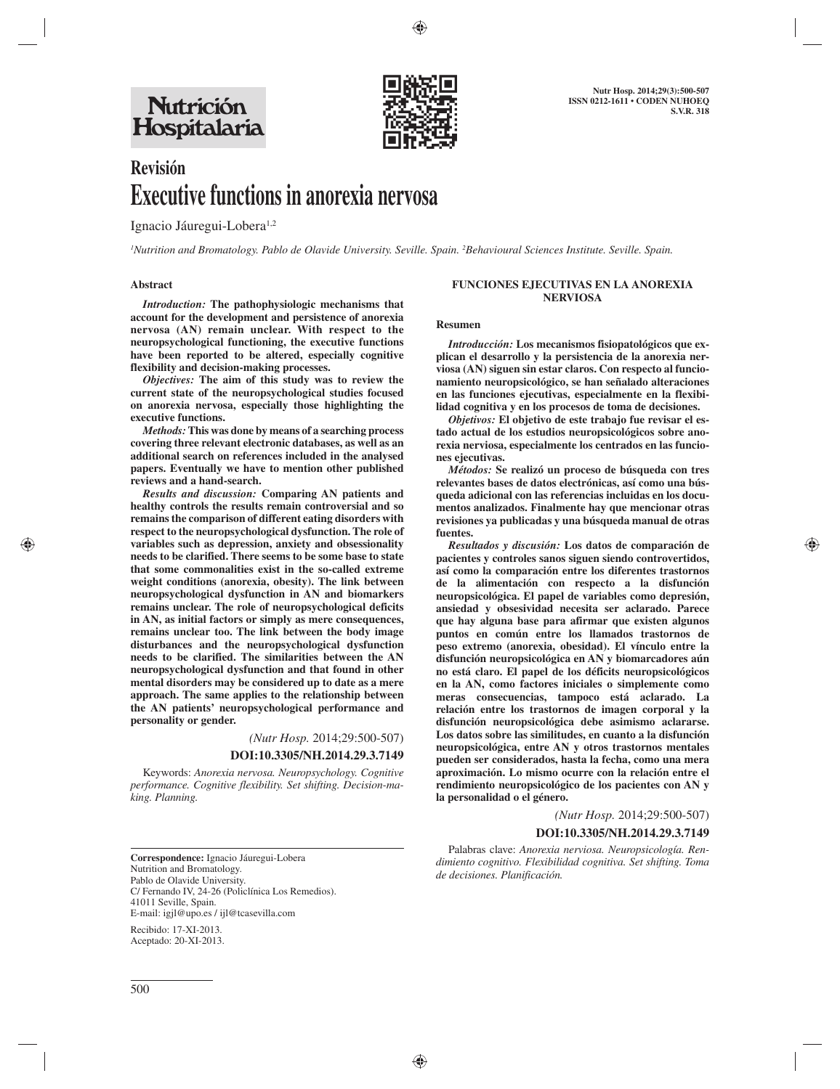

# **Revisión Executive functions in anorexia nervosa**

Ignacio Jáuregui-Lobera<sup>1,2</sup>

<sup>1</sup>Nutrition and Bromatology. Pablo de Olavide University. Seville. Spain. <sup>2</sup>Behavioural Sciences Institute. Seville. Spain.

### **Abstract**

*Introduction:* **The pathophysiologic mechanisms that account for the development and persistence of anorexia nervosa (AN) remain unclear. With respect to the neuropsychological functioning, the executive functions have been reported to be altered, especially cognitive flexibility and decision-making processes.** 

*Objectives:* **The aim of this study was to review the current state of the neuropsychological studies focused on anorexia nervosa, especially those highlighting the executive functions.** 

*Methods:* **This was done by means of a searching process covering three relevant electronic databases, as well as an additional search on references included in the analysed papers. Eventually we have to mention other published reviews and a hand-search.** 

*Results and discussion:* **Comparing AN patients and healthy controls the results remain controversial and so remains the comparison of different eating disorders with respect to the neuropsychological dysfunction. The role of variables such as depression, anxiety and obsessionality needs to be clarified. There seems to be some base to state that some commonalities exist in the so-called extreme weight conditions (anorexia, obesity). The link between neuropsychological dysfunction in AN and biomarkers remains unclear. The role of neuropsychological deficits in AN, as initial factors or simply as mere consequences, remains unclear too. The link between the body image disturbances and the neuropsychological dysfunction needs to be clarified. The similarities between the AN neuropsychological dysfunction and that found in other mental disorders may be considered up to date as a mere approach. The same applies to the relationship between the AN patients' neuropsychological performance and personality or gender.** 

*(Nutr Hosp.* 2014;29:500-507)

#### **DOI:10.3305/NH.2014.29.3.7149**

Keywords: *Anorexia nervosa. Neuropsychology. Cognitive performance. Cognitive flexibility. Set shifting. Decision-making. Planning.*

 **Correspondence:** Ignacio Jáuregui-Lobera Nutrition and Bromatology. Pablo de Olavide University. C/ Fernando IV, 24-26 (Policlínica Los Remedios). 41011 Seville, Spain. E-mail: igjl@upo.es / ijl@tcasevilla.com

Recibido: 17-XI-2013. Aceptado: 20-XI-2013.

#### **FUNCIONES EJECUTIVAS EN LA ANOREXIA NERVIOSA**

#### **Resumen**

*Introducción:* **Los mecanismos fisiopatológicos que explican el desarrollo y la persistencia de la anorexia nerviosa (AN) siguen sin estar claros. Con respecto al funcionamiento neuropsicológico, se han señalado alteraciones en las funciones ejecutivas, especialmente en la flexibilidad cognitiva y en los procesos de toma de decisiones.**

*Objetivos:* **El objetivo de este trabajo fue revisar el estado actual de los estudios neuropsicológicos sobre anorexia nerviosa, especialmente los centrados en las funciones ejecutivas.**

*Métodos:* **Se realizó un proceso de búsqueda con tres relevantes bases de datos electrónicas, así como una búsqueda adicional con las referencias incluidas en los documentos analizados. Finalmente hay que mencionar otras revisiones ya publicadas y una búsqueda manual de otras fuentes.**

*Resultados y discusión:* **Los datos de comparación de pacientes y controles sanos siguen siendo controvertidos, así como la comparación entre los diferentes trastornos de la alimentación con respecto a la disfunción neuropsicológica. El papel de variables como depresión, ansiedad y obsesividad necesita ser aclarado. Parece que hay alguna base para afirmar que existen algunos puntos en común entre los llamados trastornos de peso extremo (anorexia, obesidad). El vínculo entre la disfunción neuropsicológica en AN y biomarcadores aún no está claro. El papel de los déficits neuropsicológicos en la AN, como factores iniciales o simplemente como meras consecuencias, tampoco está aclarado. La relación entre los trastornos de imagen corporal y la disfunción neuropsicológica debe asimismo aclararse. Los datos sobre las similitudes, en cuanto a la disfunción neuropsicológica, entre AN y otros trastornos mentales pueden ser considerados, hasta la fecha, como una mera aproximación. Lo mismo ocurre con la relación entre el rendimiento neuropsicológico de los pacientes con AN y la personalidad o el género.**

*(Nutr Hosp.* 2014;29:500-507)

## **DOI:10.3305/NH.2014.29.3.7149**

Palabras clave: *Anorexia nerviosa. Neuropsicología. Rendimiento cognitivo. Flexibilidad cognitiva. Set shifting. Toma de decisiones. Planificación.*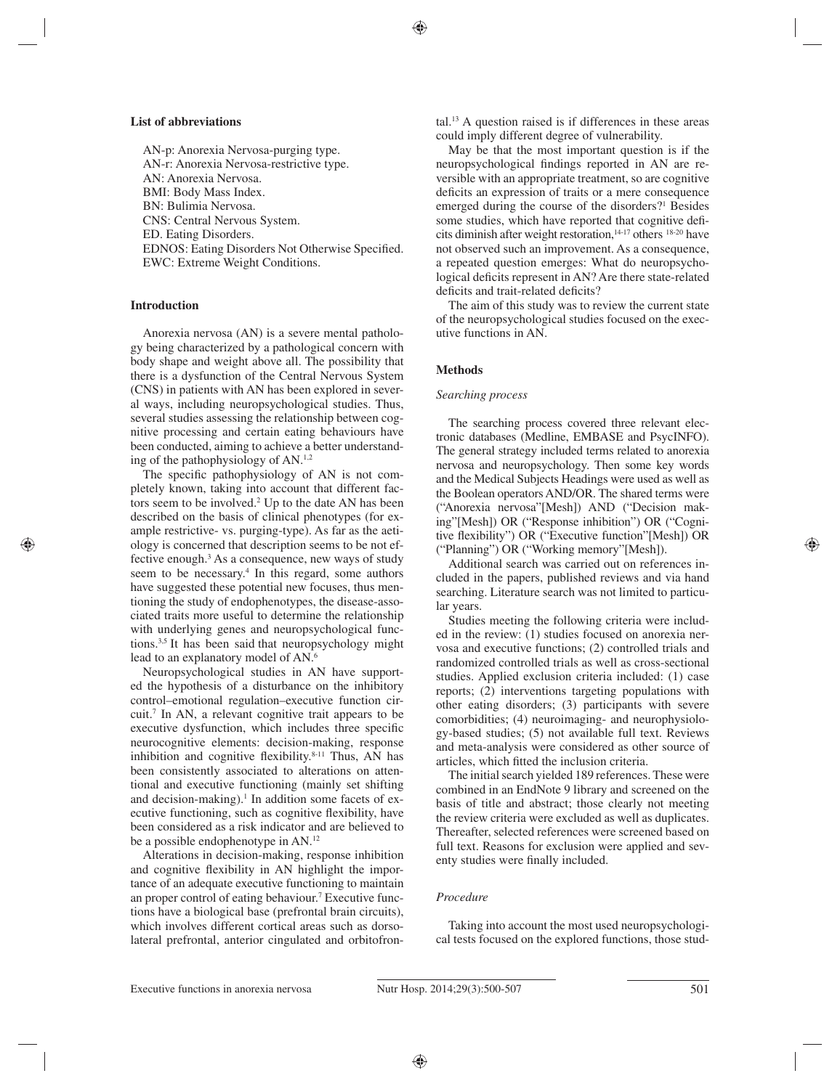#### **List of abbreviations**

AN-p: Anorexia Nervosa-purging type. AN-r: Anorexia Nervosa-restrictive type. AN: Anorexia Nervosa. BMI: Body Mass Index. BN: Bulimia Nervosa. CNS: Central Nervous System. ED. Eating Disorders. EDNOS: Eating Disorders Not Otherwise Specified. EWC: Extreme Weight Conditions.

## **Introduction**

Anorexia nervosa (AN) is a severe mental pathology being characterized by a pathological concern with body shape and weight above all. The possibility that there is a dysfunction of the Central Nervous System (CNS) in patients with AN has been explored in several ways, including neuropsychological studies. Thus, several studies assessing the relationship between cognitive processing and certain eating behaviours have been conducted, aiming to achieve a better understanding of the pathophysiology of AN.1,2

The specific pathophysiology of AN is not completely known, taking into account that different factors seem to be involved.<sup>2</sup> Up to the date AN has been described on the basis of clinical phenotypes (for example restrictive- vs. purging-type). As far as the aetiology is concerned that description seems to be not effective enough.3 As a consequence, new ways of study seem to be necessary.<sup>4</sup> In this regard, some authors have suggested these potential new focuses, thus mentioning the study of endophenotypes, the disease-associated traits more useful to determine the relationship with underlying genes and neuropsychological functions.3,5 It has been said that neuropsychology might lead to an explanatory model of AN.<sup>6</sup>

Neuropsychological studies in AN have supported the hypothesis of a disturbance on the inhibitory control–emotional regulation–executive function circuit.7 In AN, a relevant cognitive trait appears to be executive dysfunction, which includes three specific neurocognitive elements: decision-making, response inhibition and cognitive flexibility. $8-11$  Thus, AN has been consistently associated to alterations on attentional and executive functioning (mainly set shifting and decision-making).<sup>1</sup> In addition some facets of executive functioning, such as cognitive flexibility, have been considered as a risk indicator and are believed to be a possible endophenotype in AN.12

Alterations in decision-making, response inhibition and cognitive flexibility in AN highlight the importance of an adequate executive functioning to maintain an proper control of eating behaviour.<sup>7</sup> Executive functions have a biological base (prefrontal brain circuits), which involves different cortical areas such as dorsolateral prefrontal, anterior cingulated and orbitofrontal.13 A question raised is if differences in these areas could imply different degree of vulnerability.

May be that the most important question is if the neuropsychological findings reported in AN are reversible with an appropriate treatment, so are cognitive deficits an expression of traits or a mere consequence emerged during the course of the disorders?<sup>1</sup> Besides some studies, which have reported that cognitive deficits diminish after weight restoration, $14-17$  others  $18-20$  have not observed such an improvement. As a consequence, a repeated question emerges: What do neuropsychological deficits represent in AN? Are there state-related deficits and trait-related deficits?

The aim of this study was to review the current state of the neuropsychological studies focused on the executive functions in AN.

# **Methods**

## *Searching process*

The searching process covered three relevant electronic databases (Medline, EMBASE and PsycINFO). The general strategy included terms related to anorexia nervosa and neuropsychology. Then some key words and the Medical Subjects Headings were used as well as the Boolean operators AND/OR. The shared terms were ("Anorexia nervosa"[Mesh]) AND ("Decision making"[Mesh]) OR ("Response inhibition") OR ("Cognitive flexibility") OR ("Executive function"[Mesh]) OR ("Planning") OR ("Working memory"[Mesh]).

Additional search was carried out on references included in the papers, published reviews and via hand searching. Literature search was not limited to particular years.

Studies meeting the following criteria were included in the review: (1) studies focused on anorexia nervosa and executive functions; (2) controlled trials and randomized controlled trials as well as cross-sectional studies. Applied exclusion criteria included: (1) case reports; (2) interventions targeting populations with other eating disorders; (3) participants with severe comorbidities; (4) neuroimaging- and neurophysiology-based studies; (5) not available full text. Reviews and meta-analysis were considered as other source of articles, which fitted the inclusion criteria.

The initial search yielded 189 references. These were combined in an EndNote 9 library and screened on the basis of title and abstract; those clearly not meeting the review criteria were excluded as well as duplicates. Thereafter, selected references were screened based on full text. Reasons for exclusion were applied and seventy studies were finally included.

## *Procedure*

Taking into account the most used neuropsychological tests focused on the explored functions, those stud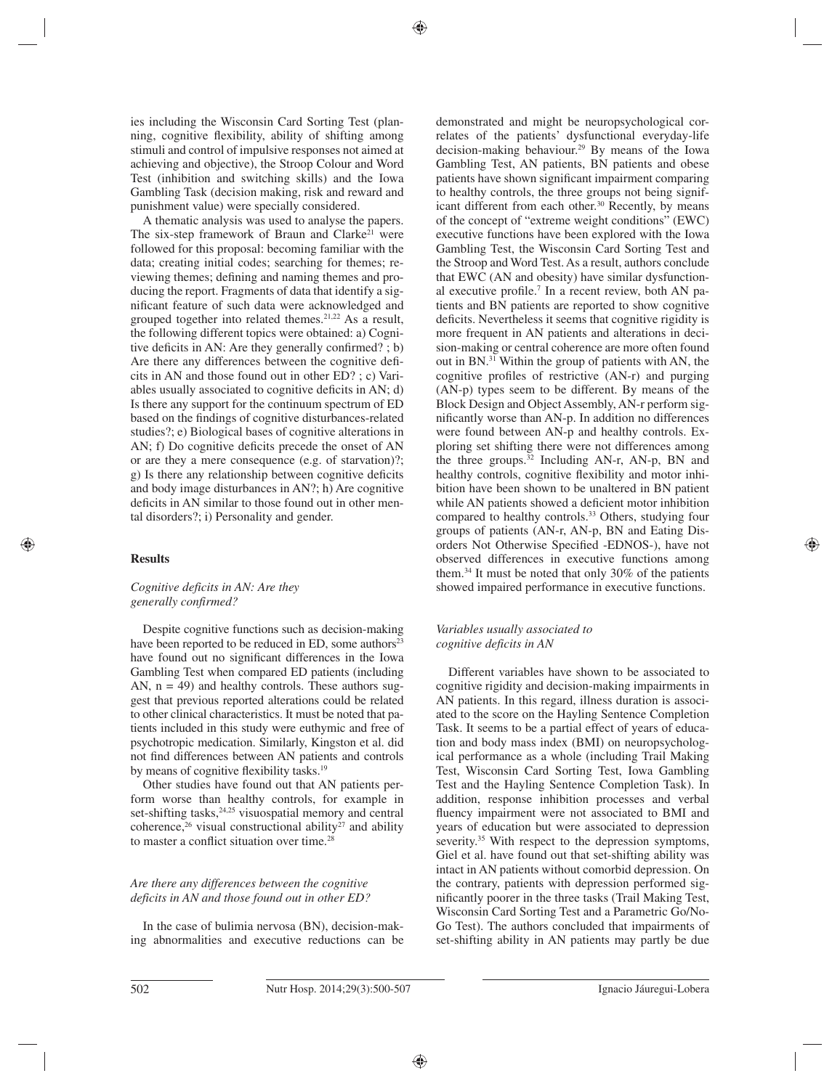ies including the Wisconsin Card Sorting Test (planning, cognitive flexibility, ability of shifting among stimuli and control of impulsive responses not aimed at achieving and objective), the Stroop Colour and Word Test (inhibition and switching skills) and the Iowa Gambling Task (decision making, risk and reward and punishment value) were specially considered.

A thematic analysis was used to analyse the papers. The six-step framework of Braun and Clarke<sup>21</sup> were followed for this proposal: becoming familiar with the data; creating initial codes; searching for themes; reviewing themes; defining and naming themes and producing the report. Fragments of data that identify a significant feature of such data were acknowledged and grouped together into related themes.21,22 As a result, the following different topics were obtained: a) Cognitive deficits in AN: Are they generally confirmed? ; b) Are there any differences between the cognitive deficits in AN and those found out in other ED? ; c) Variables usually associated to cognitive deficits in AN; d) Is there any support for the continuum spectrum of ED based on the findings of cognitive disturbances-related studies?; e) Biological bases of cognitive alterations in AN;  $f$ ) Do cognitive deficits precede the onset of AN or are they a mere consequence (e.g. of starvation)?; g) Is there any relationship between cognitive deficits and body image disturbances in AN?; h) Are cognitive deficits in AN similar to those found out in other mental disorders?; i) Personality and gender.

## **Results**

# *Cognitive deficits in AN: Are they generally confirmed?*

Despite cognitive functions such as decision-making have been reported to be reduced in ED, some authors<sup>23</sup> have found out no significant differences in the Iowa Gambling Test when compared ED patients (including AN,  $n = 49$ ) and healthy controls. These authors suggest that previous reported alterations could be related to other clinical characteristics. It must be noted that patients included in this study were euthymic and free of psychotropic medication. Similarly, Kingston et al. did not find differences between AN patients and controls by means of cognitive flexibility tasks.<sup>19</sup>

Other studies have found out that AN patients perform worse than healthy controls, for example in set-shifting tasks, $24,25$  visuospatial memory and central coherence,<sup>26</sup> visual constructional ability<sup>27</sup> and ability to master a conflict situation over time.<sup>28</sup>

# *Are there any differences between the cognitive deficits in AN and those found out in other ED?*

In the case of bulimia nervosa (BN), decision-making abnormalities and executive reductions can be demonstrated and might be neuropsychological correlates of the patients' dysfunctional everyday-life decision-making behaviour.29 By means of the Iowa Gambling Test, AN patients, BN patients and obese patients have shown significant impairment comparing to healthy controls, the three groups not being significant different from each other.<sup>30</sup> Recently, by means of the concept of "extreme weight conditions" (EWC) executive functions have been explored with the Iowa Gambling Test, the Wisconsin Card Sorting Test and the Stroop and Word Test. As a result, authors conclude that EWC (AN and obesity) have similar dysfunctional executive profile.<sup>7</sup> In a recent review, both AN patients and BN patients are reported to show cognitive deficits. Nevertheless it seems that cognitive rigidity is more frequent in AN patients and alterations in decision-making or central coherence are more often found out in BN.31 Within the group of patients with AN, the cognitive profiles of restrictive  $(AN-r)$  and purging (AN-p) types seem to be different. By means of the Block Design and Object Assembly, AN-r perform significantly worse than AN-p. In addition no differences were found between AN-p and healthy controls. Exploring set shifting there were not differences among the three groups.32 Including AN-r, AN-p, BN and healthy controls, cognitive flexibility and motor inhibition have been shown to be unaltered in BN patient while AN patients showed a deficient motor inhibition compared to healthy controls.<sup>33</sup> Others, studying four groups of patients (AN-r, AN-p, BN and Eating Disorders Not Otherwise Specified -EDNOS-), have not observed differences in executive functions among them.34 It must be noted that only 30% of the patients showed impaired performance in executive functions.

# *Variables usually associated to cognitive deficits in AN*

Different variables have shown to be associated to cognitive rigidity and decision-making impairments in AN patients. In this regard, illness duration is associated to the score on the Hayling Sentence Completion Task. It seems to be a partial effect of years of education and body mass index (BMI) on neuropsychological performance as a whole (including Trail Making Test, Wisconsin Card Sorting Test, Iowa Gambling Test and the Hayling Sentence Completion Task). In addition, response inhibition processes and verbal fluency impairment were not associated to BMI and years of education but were associated to depression severity.<sup>35</sup> With respect to the depression symptoms, Giel et al. have found out that set-shifting ability was intact in AN patients without comorbid depression. On the contrary, patients with depression performed significantly poorer in the three tasks (Trail Making Test, Wisconsin Card Sorting Test and a Parametric Go/No-Go Test). The authors concluded that impairments of set-shifting ability in AN patients may partly be due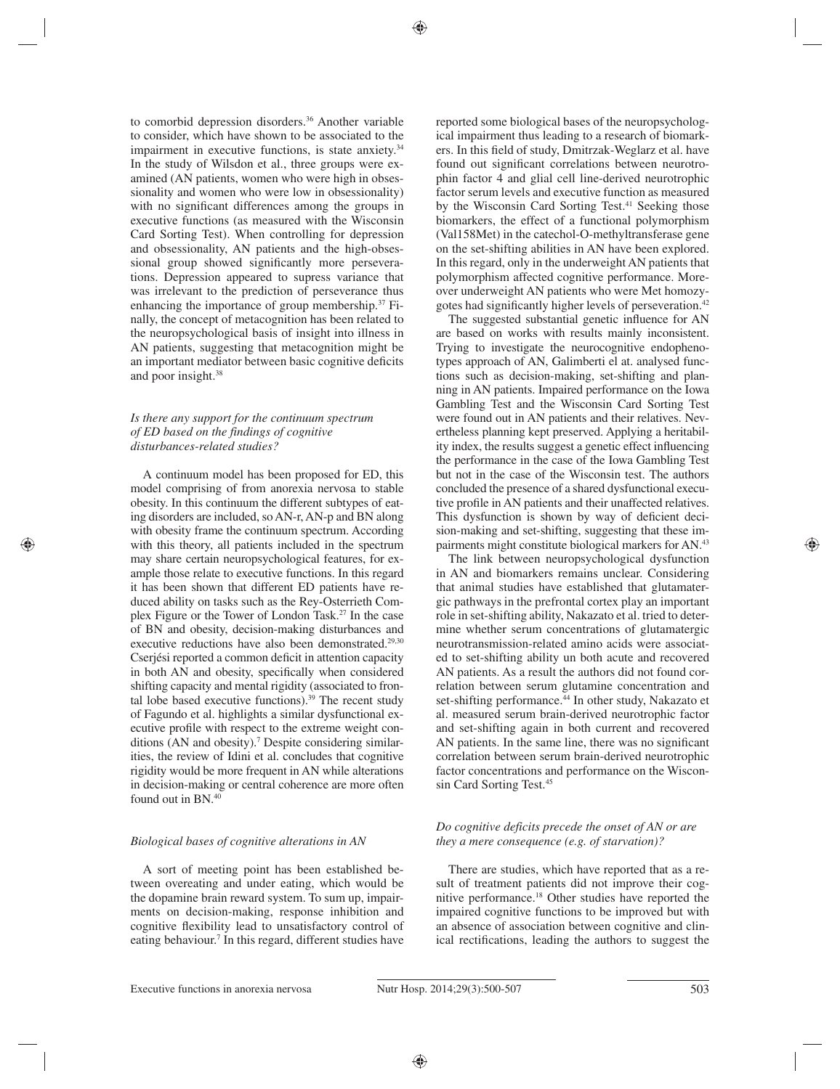to comorbid depression disorders.<sup>36</sup> Another variable to consider, which have shown to be associated to the impairment in executive functions, is state anxiety.<sup>34</sup> In the study of Wilsdon et al., three groups were examined (AN patients, women who were high in obsessionality and women who were low in obsessionality) with no significant differences among the groups in executive functions (as measured with the Wisconsin Card Sorting Test). When controlling for depression and obsessionality, AN patients and the high-obsessional group showed significantly more perseverations. Depression appeared to supress variance that was irrelevant to the prediction of perseverance thus enhancing the importance of group membership.37 Finally, the concept of metacognition has been related to the neuropsychological basis of insight into illness in AN patients, suggesting that metacognition might be an important mediator between basic cognitive deficits and poor insight.38

## *Is there any support for the continuum spectrum of ED based on the findings of cognitive disturbances-related studies?*

A continuum model has been proposed for ED, this model comprising of from anorexia nervosa to stable obesity. In this continuum the different subtypes of eating disorders are included, so AN-r, AN-p and BN along with obesity frame the continuum spectrum. According with this theory, all patients included in the spectrum may share certain neuropsychological features, for example those relate to executive functions. In this regard it has been shown that different ED patients have reduced ability on tasks such as the Rey-Osterrieth Complex Figure or the Tower of London Task.27 In the case of BN and obesity, decision-making disturbances and executive reductions have also been demonstrated.<sup>29,30</sup> Cserjési reported a common deficit in attention capacity in both AN and obesity, specifically when considered shifting capacity and mental rigidity (associated to frontal lobe based executive functions). $39$  The recent study of Fagundo et al. highlights a similar dysfunctional executive profile with respect to the extreme weight conditions (AN and obesity).7 Despite considering similarities, the review of Idini et al. concludes that cognitive rigidity would be more frequent in AN while alterations in decision-making or central coherence are more often found out in BN.40

## *Biological bases of cognitive alterations in AN*

A sort of meeting point has been established between overeating and under eating, which would be the dopamine brain reward system. To sum up, impairments on decision-making, response inhibition and cognitive flexibility lead to unsatisfactory control of eating behaviour.<sup>7</sup> In this regard, different studies have reported some biological bases of the neuropsychological impairment thus leading to a research of biomarkers. In this field of study, Dmitrzak-Weglarz et al. have found out significant correlations between neurotrophin factor 4 and glial cell line-derived neurotrophic factor serum levels and executive function as measured by the Wisconsin Card Sorting Test.<sup>41</sup> Seeking those biomarkers, the effect of a functional polymorphism (Val158Met) in the catechol-O-methyltransferase gene on the set-shifting abilities in AN have been explored. In this regard, only in the underweight AN patients that polymorphism affected cognitive performance. Moreover underweight AN patients who were Met homozygotes had significantly higher levels of perseveration.<sup>42</sup>

The suggested substantial genetic influence for AN are based on works with results mainly inconsistent. Trying to investigate the neurocognitive endophenotypes approach of AN, Galimberti el at. analysed functions such as decision-making, set-shifting and planning in AN patients. Impaired performance on the Iowa Gambling Test and the Wisconsin Card Sorting Test were found out in AN patients and their relatives. Nevertheless planning kept preserved. Applying a heritability index, the results suggest a genetic effect influencing the performance in the case of the Iowa Gambling Test but not in the case of the Wisconsin test. The authors concluded the presence of a shared dysfunctional executive profile in AN patients and their unaffected relatives. This dysfunction is shown by way of deficient decision-making and set-shifting, suggesting that these impairments might constitute biological markers for AN.43

The link between neuropsychological dysfunction in AN and biomarkers remains unclear. Considering that animal studies have established that glutamatergic pathways in the prefrontal cortex play an important role in set-shifting ability, Nakazato et al. tried to determine whether serum concentrations of glutamatergic neurotransmission-related amino acids were associated to set-shifting ability un both acute and recovered AN patients. As a result the authors did not found correlation between serum glutamine concentration and set-shifting performance.<sup>44</sup> In other study, Nakazato et al. measured serum brain-derived neurotrophic factor and set-shifting again in both current and recovered AN patients. In the same line, there was no significant correlation between serum brain-derived neurotrophic factor concentrations and performance on the Wisconsin Card Sorting Test.45

# *Do cognitive deficits precede the onset of AN or are they a mere consequence (e.g. of starvation)?*

There are studies, which have reported that as a result of treatment patients did not improve their cognitive performance.18 Other studies have reported the impaired cognitive functions to be improved but with an absence of association between cognitive and clinical rectifications, leading the authors to suggest the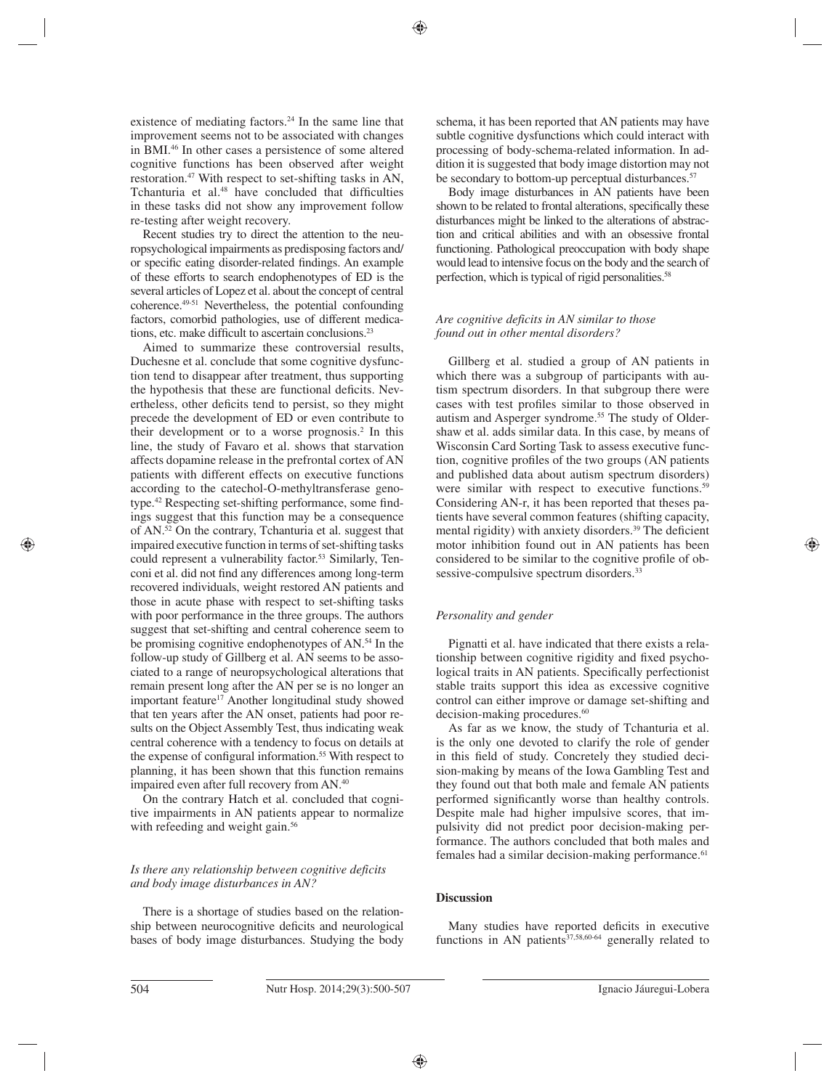existence of mediating factors.<sup>24</sup> In the same line that improvement seems not to be associated with changes in BMI.46 In other cases a persistence of some altered cognitive functions has been observed after weight restoration.<sup>47</sup> With respect to set-shifting tasks in AN, Tchanturia et al. $48$  have concluded that difficulties in these tasks did not show any improvement follow re-testing after weight recovery.

Recent studies try to direct the attention to the neuropsychological impairments as predisposing factors and/ or specific eating disorder-related findings. An example of these efforts to search endophenotypes of ED is the several articles of Lopez et al. about the concept of central coherence.49-51 Nevertheless, the potential confounding factors, comorbid pathologies, use of different medications, etc. make difficult to ascertain conclusions. $2<sup>3</sup>$ 

Aimed to summarize these controversial results, Duchesne et al. conclude that some cognitive dysfunction tend to disappear after treatment, thus supporting the hypothesis that these are functional deficits. Nevertheless, other deficits tend to persist, so they might precede the development of ED or even contribute to their development or to a worse prognosis. $2$  In this line, the study of Favaro et al. shows that starvation affects dopamine release in the prefrontal cortex of AN patients with different effects on executive functions according to the catechol-O-methyltransferase genotype.<sup>42</sup> Respecting set-shifting performance, some findings suggest that this function may be a consequence of AN.52 On the contrary, Tchanturia et al. suggest that impaired executive function in terms of set-shifting tasks could represent a vulnerability factor.<sup>53</sup> Similarly, Tenconi et al. did not find any differences among long-term recovered individuals, weight restored AN patients and those in acute phase with respect to set-shifting tasks with poor performance in the three groups. The authors suggest that set-shifting and central coherence seem to be promising cognitive endophenotypes of AN.54 In the follow-up study of Gillberg et al. AN seems to be associated to a range of neuropsychological alterations that remain present long after the AN per se is no longer an important feature<sup>17</sup> Another longitudinal study showed that ten years after the AN onset, patients had poor results on the Object Assembly Test, thus indicating weak central coherence with a tendency to focus on details at the expense of configural information.<sup>55</sup> With respect to planning, it has been shown that this function remains impaired even after full recovery from AN.40

On the contrary Hatch et al. concluded that cognitive impairments in AN patients appear to normalize with refeeding and weight gain.<sup>56</sup>

# *Is there any relationship between cognitive deficits and body image disturbances in AN?*

There is a shortage of studies based on the relationship between neurocognitive deficits and neurological bases of body image disturbances. Studying the body schema, it has been reported that AN patients may have subtle cognitive dysfunctions which could interact with processing of body-schema-related information. In addition it is suggested that body image distortion may not be secondary to bottom-up perceptual disturbances.<sup>57</sup>

Body image disturbances in AN patients have been shown to be related to frontal alterations, specifically these disturbances might be linked to the alterations of abstraction and critical abilities and with an obsessive frontal functioning. Pathological preoccupation with body shape would lead to intensive focus on the body and the search of perfection, which is typical of rigid personalities.<sup>58</sup>

## *Are cognitive deficits in AN similar to those found out in other mental disorders?*

Gillberg et al. studied a group of AN patients in which there was a subgroup of participants with autism spectrum disorders. In that subgroup there were cases with test profiles similar to those observed in autism and Asperger syndrome.<sup>55</sup> The study of Oldershaw et al. adds similar data. In this case, by means of Wisconsin Card Sorting Task to assess executive function, cognitive profiles of the two groups (AN patients and published data about autism spectrum disorders) were similar with respect to executive functions.<sup>59</sup> Considering AN-r, it has been reported that theses patients have several common features (shifting capacity, mental rigidity) with anxiety disorders.<sup>39</sup> The deficient motor inhibition found out in AN patients has been considered to be similar to the cognitive profile of obsessive-compulsive spectrum disorders.<sup>33</sup>

# *Personality and gender*

Pignatti et al. have indicated that there exists a relationship between cognitive rigidity and fixed psychological traits in AN patients. Specifically perfectionist stable traits support this idea as excessive cognitive control can either improve or damage set-shifting and decision-making procedures.<sup>60</sup>

As far as we know, the study of Tchanturia et al. is the only one devoted to clarify the role of gender in this field of study. Concretely they studied decision-making by means of the Iowa Gambling Test and they found out that both male and female AN patients performed significantly worse than healthy controls. Despite male had higher impulsive scores, that impulsivity did not predict poor decision-making performance. The authors concluded that both males and females had a similar decision-making performance.<sup>61</sup>

# **Discussion**

Many studies have reported deficits in executive functions in AN patients $37,58,60.64$  generally related to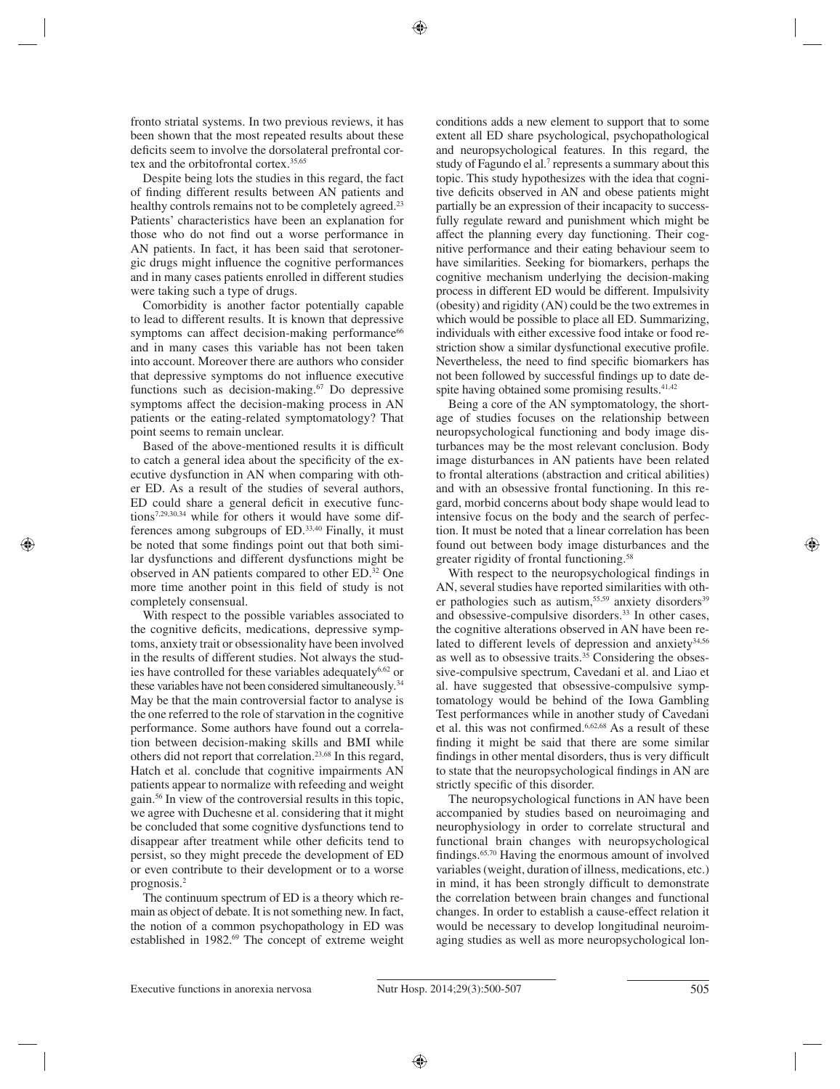fronto striatal systems. In two previous reviews, it has been shown that the most repeated results about these deficits seem to involve the dorsolateral prefrontal cortex and the orbitofrontal cortex.35,65

Despite being lots the studies in this regard, the fact of finding different results between AN patients and healthy controls remains not to be completely agreed.<sup>23</sup> Patients' characteristics have been an explanation for those who do not find out a worse performance in AN patients. In fact, it has been said that serotonergic drugs might influence the cognitive performances and in many cases patients enrolled in different studies were taking such a type of drugs.

Comorbidity is another factor potentially capable to lead to different results. It is known that depressive symptoms can affect decision-making performance<sup>66</sup> and in many cases this variable has not been taken into account. Moreover there are authors who consider that depressive symptoms do not influence executive functions such as decision-making.<sup>67</sup> Do depressive symptoms affect the decision-making process in AN patients or the eating-related symptomatology? That point seems to remain unclear.

Based of the above-mentioned results it is difficult to catch a general idea about the specificity of the executive dysfunction in AN when comparing with other ED. As a result of the studies of several authors, ED could share a general deficit in executive functions7,29,30,34 while for others it would have some differences among subgroups of ED.33,40 Finally, it must be noted that some findings point out that both similar dysfunctions and different dysfunctions might be observed in AN patients compared to other ED.32 One more time another point in this field of study is not completely consensual.

With respect to the possible variables associated to the cognitive deficits, medications, depressive symptoms, anxiety trait or obsessionality have been involved in the results of different studies. Not always the studies have controlled for these variables adequately<sup>6,62</sup> or these variables have not been considered simultaneously.<sup>34</sup> May be that the main controversial factor to analyse is the one referred to the role of starvation in the cognitive performance. Some authors have found out a correlation between decision-making skills and BMI while others did not report that correlation.23,68 In this regard, Hatch et al. conclude that cognitive impairments AN patients appear to normalize with refeeding and weight gain.56 In view of the controversial results in this topic, we agree with Duchesne et al. considering that it might be concluded that some cognitive dysfunctions tend to disappear after treatment while other deficits tend to persist, so they might precede the development of ED or even contribute to their development or to a worse prognosis.2

The continuum spectrum of ED is a theory which remain as object of debate. It is not something new. In fact, the notion of a common psychopathology in ED was established in 1982.<sup>69</sup> The concept of extreme weight conditions adds a new element to support that to some extent all ED share psychological, psychopathological and neuropsychological features. In this regard, the study of Fagundo el al.<sup>7</sup> represents a summary about this topic. This study hypothesizes with the idea that cognitive deficits observed in AN and obese patients might partially be an expression of their incapacity to successfully regulate reward and punishment which might be affect the planning every day functioning. Their cognitive performance and their eating behaviour seem to have similarities. Seeking for biomarkers, perhaps the cognitive mechanism underlying the decision-making process in different ED would be different. Impulsivity (obesity) and rigidity (AN) could be the two extremes in which would be possible to place all ED. Summarizing, individuals with either excessive food intake or food restriction show a similar dysfunctional executive profile. Nevertheless, the need to find specific biomarkers has not been followed by successful findings up to date despite having obtained some promising results.<sup>41,42</sup>

Being a core of the AN symptomatology, the shortage of studies focuses on the relationship between neuropsychological functioning and body image disturbances may be the most relevant conclusion. Body image disturbances in AN patients have been related to frontal alterations (abstraction and critical abilities) and with an obsessive frontal functioning. In this regard, morbid concerns about body shape would lead to intensive focus on the body and the search of perfection. It must be noted that a linear correlation has been found out between body image disturbances and the greater rigidity of frontal functioning.58

With respect to the neuropsychological findings in AN, several studies have reported similarities with other pathologies such as autism,<sup>55,59</sup> anxiety disorders<sup>39</sup> and obsessive-compulsive disorders.<sup>33</sup> In other cases, the cognitive alterations observed in AN have been related to different levels of depression and anxiety $34,56$ as well as to obsessive traits. $35$  Considering the obsessive-compulsive spectrum, Cavedani et al. and Liao et al. have suggested that obsessive-compulsive symptomatology would be behind of the Iowa Gambling Test performances while in another study of Cavedani et al. this was not confirmed.<sup>6,62,68</sup> As a result of these finding it might be said that there are some similar findings in other mental disorders, thus is very difficult to state that the neuropsychological findings in AN are strictly specific of this disorder.

The neuropsychological functions in AN have been accompanied by studies based on neuroimaging and neurophysiology in order to correlate structural and functional brain changes with neuropsychological findings.<sup>65,70</sup> Having the enormous amount of involved variables (weight, duration of illness, medications, etc.) in mind, it has been strongly difficult to demonstrate the correlation between brain changes and functional changes. In order to establish a cause-effect relation it would be necessary to develop longitudinal neuroimaging studies as well as more neuropsychological lon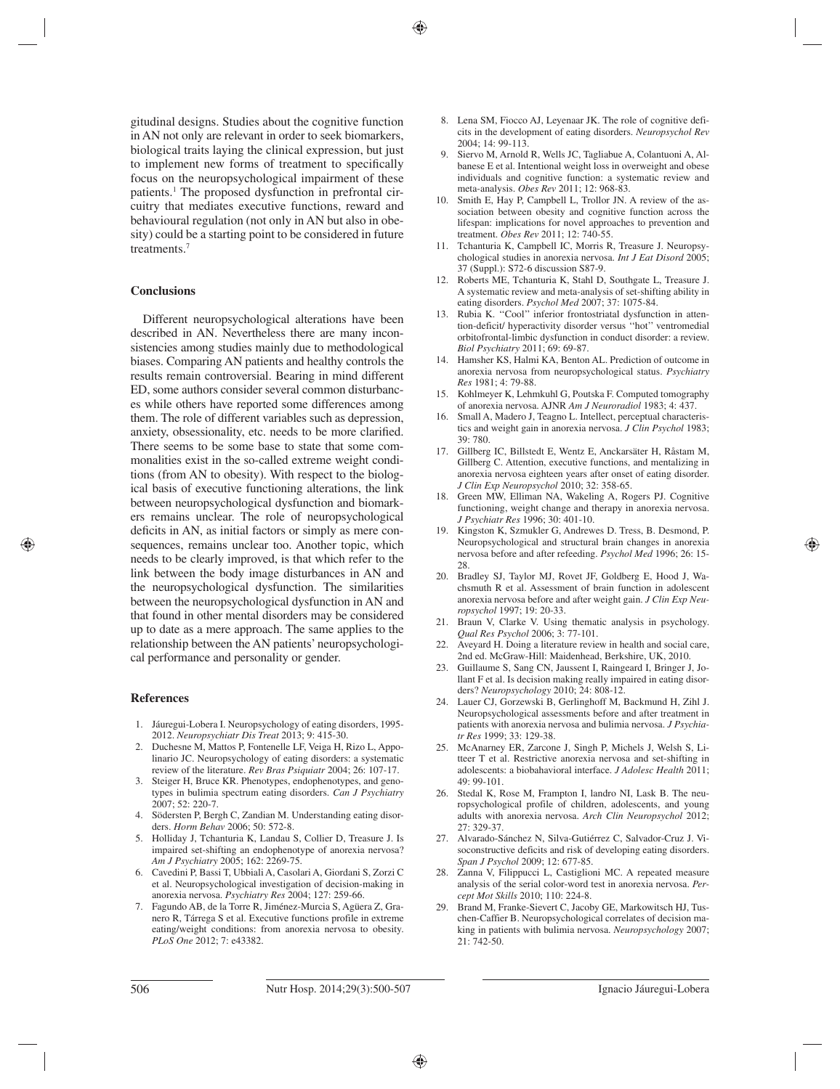gitudinal designs. Studies about the cognitive function in AN not only are relevant in order to seek biomarkers, biological traits laying the clinical expression, but just to implement new forms of treatment to specifically focus on the neuropsychological impairment of these patients.<sup>1</sup> The proposed dysfunction in prefrontal circuitry that mediates executive functions, reward and behavioural regulation (not only in AN but also in obesity) could be a starting point to be considered in future treatments.7

#### **Conclusions**

Different neuropsychological alterations have been described in AN. Nevertheless there are many inconsistencies among studies mainly due to methodological biases. Comparing AN patients and healthy controls the results remain controversial. Bearing in mind different ED, some authors consider several common disturbances while others have reported some differences among them. The role of different variables such as depression, anxiety, obsessionality, etc. needs to be more clarified. There seems to be some base to state that some commonalities exist in the so-called extreme weight conditions (from AN to obesity). With respect to the biological basis of executive functioning alterations, the link between neuropsychological dysfunction and biomarkers remains unclear. The role of neuropsychological deficits in AN, as initial factors or simply as mere consequences, remains unclear too. Another topic, which needs to be clearly improved, is that which refer to the link between the body image disturbances in AN and the neuropsychological dysfunction. The similarities between the neuropsychological dysfunction in AN and that found in other mental disorders may be considered up to date as a mere approach. The same applies to the relationship between the AN patients' neuropsychological performance and personality or gender.

#### **References**

- 1. Jáuregui-Lobera I. Neuropsychology of eating disorders, 1995- 2012. *Neuropsychiatr Dis Treat* 2013; 9: 415-30.
- 2. Duchesne M, Mattos P, Fontenelle LF, Veiga H, Rizo L, Appolinario JC. Neuropsychology of eating disorders: a systematic review of the literature. *Rev Bras Psiquiatr* 2004; 26: 107-17.
- 3. Steiger H, Bruce KR. Phenotypes, endophenotypes, and genotypes in bulimia spectrum eating disorders. *Can J Psychiatry* 2007; 52: 220-7.
- 4. Södersten P, Bergh C, Zandian M. Understanding eating disorders. *Horm Behav* 2006; 50: 572-8.
- 5. Holliday J, Tchanturia K, Landau S, Collier D, Treasure J. Is impaired set-shifting an endophenotype of anorexia nervosa? *Am J Psychiatry* 2005; 162: 2269-75.
- 6. Cavedini P, Bassi T, Ubbiali A, Casolari A, Giordani S, Zorzi C et al. Neuropsychological investigation of decision-making in anorexia nervosa. *Psychiatry Res* 2004; 127: 259-66.
- 7. Fagundo AB, de la Torre R, Jiménez-Murcia S, Agüera Z, Granero R, Tárrega S et al. Executive functions profile in extreme eating/weight conditions: from anorexia nervosa to obesity. *PLoS One* 2012; 7: e43382.
- 8. Lena SM, Fiocco AJ, Leyenaar JK. The role of cognitive deficits in the development of eating disorders. *Neuropsychol Rev* 2004; 14: 99-113.
- 9. Siervo M, Arnold R, Wells JC, Tagliabue A, Colantuoni A, Albanese E et al. Intentional weight loss in overweight and obese individuals and cognitive function: a systematic review and meta-analysis. *Obes Rev* 2011; 12: 968-83.
- 10. Smith E, Hay P, Campbell L, Trollor JN. A review of the association between obesity and cognitive function across the lifespan: implications for novel approaches to prevention and treatment. *Obes Rev* 2011; 12: 740-55.
- 11. Tchanturia K, Campbell IC, Morris R, Treasure J. Neuropsychological studies in anorexia nervosa. *Int J Eat Disord* 2005; 37 (Suppl.): S72-6 discussion S87-9.
- 12. Roberts ME, Tchanturia K, Stahl D, Southgate L, Treasure J. A systematic review and meta-analysis of set-shifting ability in eating disorders. *Psychol Med* 2007; 37: 1075-84.
- 13. Rubia K. ''Cool'' inferior frontostriatal dysfunction in attention-deficit/ hyperactivity disorder versus ''hot'' ventromedial orbitofrontal-limbic dysfunction in conduct disorder: a review. *Biol Psychiatry* 2011; 69: 69-87.
- 14. Hamsher KS, Halmi KA, Benton AL. Prediction of outcome in anorexia nervosa from neuropsychological status. *Psychiatry Res* 1981; 4: 79-88.
- 15. Kohlmeyer K, Lehmkuhl G, Poutska F. Computed tomography of anorexia nervosa. AJNR *Am J Neuroradiol* 1983; 4: 437.
- 16. Small A, Madero J, Teagno L. Intellect, perceptual characteristics and weight gain in anorexia nervosa. *J Clin Psychol* 1983; 39: 780.
- 17. Gillberg IC, Billstedt E, Wentz E, Anckarsäter H, Råstam M, Gillberg C. Attention, executive functions, and mentalizing in anorexia nervosa eighteen years after onset of eating disorder. *J Clin Exp Neuropsychol* 2010; 32: 358-65.
- 18. Green MW, Elliman NA, Wakeling A, Rogers PJ. Cognitive functioning, weight change and therapy in anorexia nervosa. *J Psychiatr Res* 1996; 30: 401-10.
- Kingston K, Szmukler G, Andrewes D. Tress, B. Desmond, P. Neuropsychological and structural brain changes in anorexia nervosa before and after refeeding. *Psychol Med* 1996; 26: 15- 28.
- 20. Bradley SJ, Taylor MJ, Rovet JF, Goldberg E, Hood J, Wachsmuth R et al. Assessment of brain function in adolescent anorexia nervosa before and after weight gain. *J Clin Exp Neuropsychol* 1997; 19: 20-33.
- 21. Braun V, Clarke V. Using thematic analysis in psychology. *Qual Res Psychol* 2006; 3: 77-101.
- 22. Aveyard H. Doing a literature review in health and social care, 2nd ed. McGraw-Hill: Maidenhead, Berkshire, UK, 2010.
- 23. Guillaume S, Sang CN, Jaussent I, Raingeard I, Bringer J, Jollant F et al. Is decision making really impaired in eating disorders? *Neuropsychology* 2010; 24: 808-12.
- 24. Lauer CJ, Gorzewski B, Gerlinghoff M, Backmund H, Zihl J. Neuropsychological assessments before and after treatment in patients with anorexia nervosa and bulimia nervosa. *J Psychiatr Res* 1999; 33: 129-38.
- 25. McAnarney ER, Zarcone J, Singh P, Michels J, Welsh S, Litteer T et al. Restrictive anorexia nervosa and set-shifting in adolescents: a biobahavioral interface. *J Adolesc Health* 2011;  $49.99-101$
- 26. Stedal K, Rose M, Frampton I, landro NI, Lask B. The neuropsychological profile of children, adolescents, and young adults with anorexia nervosa. *Arch Clin Neuropsychol* 2012; 27: 329-37.
- 27. Alvarado-Sánchez N, Silva-Gutiérrez C, Salvador-Cruz J. Visoconstructive deficits and risk of developing eating disorders. *Span J Psychol* 2009; 12: 677-85.
- 28. Zanna V, Filippucci L, Castiglioni MC. A repeated measure analysis of the serial color-word test in anorexia nervosa. *Percept Mot Skills* 2010; 110: 224-8.
- Brand M, Franke-Sievert C, Jacoby GE, Markowitsch HJ, Tuschen-Caffier B. Neuropsychological correlates of decision making in patients with bulimia nervosa. *Neuropsychology* 2007; 21: 742-50.